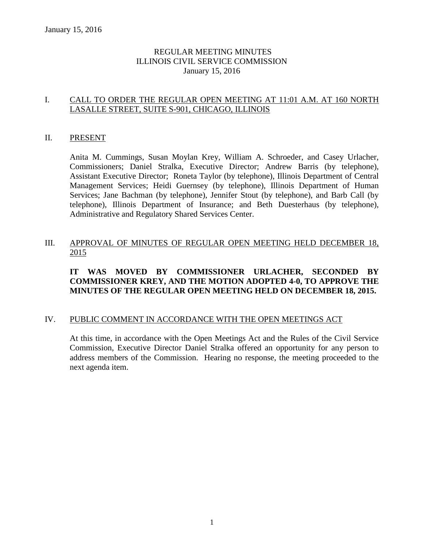# REGULAR MEETING MINUTES ILLINOIS CIVIL SERVICE COMMISSION January 15, 2016

# I. CALL TO ORDER THE REGULAR OPEN MEETING AT 11:01 A.M. AT 160 NORTH LASALLE STREET, SUITE S-901, CHICAGO, ILLINOIS

## II. PRESENT

Anita M. Cummings, Susan Moylan Krey, William A. Schroeder, and Casey Urlacher, Commissioners; Daniel Stralka, Executive Director; Andrew Barris (by telephone), Assistant Executive Director; Roneta Taylor (by telephone), Illinois Department of Central Management Services; Heidi Guernsey (by telephone), Illinois Department of Human Services; Jane Bachman (by telephone), Jennifer Stout (by telephone), and Barb Call (by telephone), Illinois Department of Insurance; and Beth Duesterhaus (by telephone), Administrative and Regulatory Shared Services Center.

# III. APPROVAL OF MINUTES OF REGULAR OPEN MEETING HELD DECEMBER 18, 2015

# **IT WAS MOVED BY COMMISSIONER URLACHER, SECONDED BY COMMISSIONER KREY, AND THE MOTION ADOPTED 4-0, TO APPROVE THE MINUTES OF THE REGULAR OPEN MEETING HELD ON DECEMBER 18, 2015.**

#### IV. PUBLIC COMMENT IN ACCORDANCE WITH THE OPEN MEETINGS ACT

At this time, in accordance with the Open Meetings Act and the Rules of the Civil Service Commission, Executive Director Daniel Stralka offered an opportunity for any person to address members of the Commission. Hearing no response, the meeting proceeded to the next agenda item.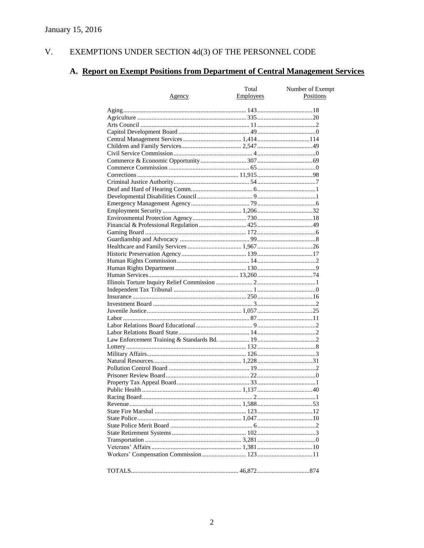#### $V<sub>r</sub>$ EXEMPTIONS UNDER SECTION 4d(3) OF THE PERSONNEL CODE

# A. Report on Exempt Positions from Department of Central Management Services

|               | Total     | Number of Exempt |
|---------------|-----------|------------------|
| <u>Agency</u> | Employees | Positions        |
|               |           |                  |
|               |           |                  |
|               |           |                  |
|               |           |                  |
|               |           |                  |
|               |           |                  |
|               |           |                  |
|               |           |                  |
|               |           |                  |
|               |           |                  |
|               |           |                  |
|               |           |                  |
|               |           |                  |
|               |           |                  |
|               |           |                  |
|               |           |                  |
|               |           |                  |
|               |           |                  |
|               |           |                  |
|               |           |                  |
|               |           |                  |
|               |           |                  |
|               |           |                  |
|               |           |                  |
|               |           |                  |
|               |           |                  |
|               |           |                  |
|               |           |                  |
|               |           |                  |
|               |           |                  |
|               |           |                  |
|               |           |                  |
|               |           |                  |
|               |           |                  |
|               |           |                  |
|               |           |                  |
|               |           |                  |
|               |           |                  |
|               |           |                  |
|               |           |                  |
|               |           |                  |
|               |           |                  |
|               |           |                  |
|               |           |                  |
|               |           |                  |
|               |           |                  |
|               |           |                  |
|               |           |                  |
|               |           |                  |
|               |           |                  |
|               |           |                  |
|               |           |                  |
|               |           |                  |
|               |           |                  |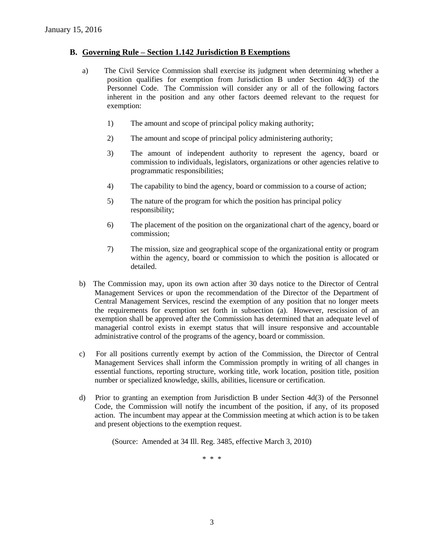#### **B. Governing Rule – Section 1.142 Jurisdiction B Exemptions**

- a) The Civil Service Commission shall exercise its judgment when determining whether a position qualifies for exemption from Jurisdiction B under Section 4d(3) of the Personnel Code. The Commission will consider any or all of the following factors inherent in the position and any other factors deemed relevant to the request for exemption:
	- 1) The amount and scope of principal policy making authority;
	- 2) The amount and scope of principal policy administering authority;
	- 3) The amount of independent authority to represent the agency, board or commission to individuals, legislators, organizations or other agencies relative to programmatic responsibilities;
	- 4) The capability to bind the agency, board or commission to a course of action;
	- 5) The nature of the program for which the position has principal policy responsibility;
	- 6) The placement of the position on the organizational chart of the agency, board or commission;
	- 7) The mission, size and geographical scope of the organizational entity or program within the agency, board or commission to which the position is allocated or detailed.
- b) The Commission may, upon its own action after 30 days notice to the Director of Central Management Services or upon the recommendation of the Director of the Department of Central Management Services, rescind the exemption of any position that no longer meets the requirements for exemption set forth in subsection (a). However, rescission of an exemption shall be approved after the Commission has determined that an adequate level of managerial control exists in exempt status that will insure responsive and accountable administrative control of the programs of the agency, board or commission.
- c) For all positions currently exempt by action of the Commission, the Director of Central Management Services shall inform the Commission promptly in writing of all changes in essential functions, reporting structure, working title, work location, position title, position number or specialized knowledge, skills, abilities, licensure or certification.
- d) Prior to granting an exemption from Jurisdiction B under Section 4d(3) of the Personnel Code, the Commission will notify the incumbent of the position, if any, of its proposed action. The incumbent may appear at the Commission meeting at which action is to be taken and present objections to the exemption request.

(Source: Amended at 34 Ill. Reg. 3485, effective March 3, 2010)

\* \* \*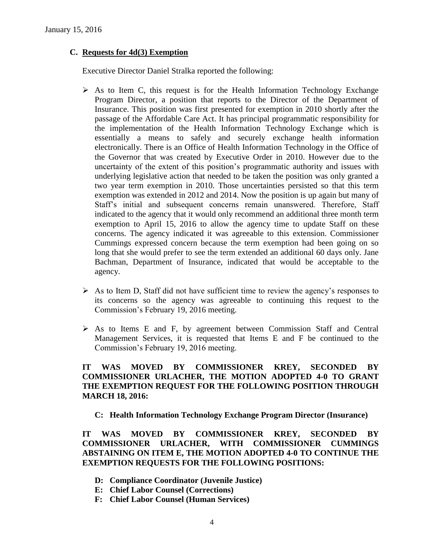# **C. Requests for 4d(3) Exemption**

Executive Director Daniel Stralka reported the following:

- $\triangleright$  As to Item C, this request is for the Health Information Technology Exchange Program Director, a position that reports to the Director of the Department of Insurance. This position was first presented for exemption in 2010 shortly after the passage of the Affordable Care Act. It has principal programmatic responsibility for the implementation of the Health Information Technology Exchange which is essentially a means to safely and securely exchange health information electronically. There is an Office of Health Information Technology in the Office of the Governor that was created by Executive Order in 2010. However due to the uncertainty of the extent of this position's programmatic authority and issues with underlying legislative action that needed to be taken the position was only granted a two year term exemption in 2010. Those uncertainties persisted so that this term exemption was extended in 2012 and 2014. Now the position is up again but many of Staff's initial and subsequent concerns remain unanswered. Therefore, Staff indicated to the agency that it would only recommend an additional three month term exemption to April 15, 2016 to allow the agency time to update Staff on these concerns. The agency indicated it was agreeable to this extension. Commissioner Cummings expressed concern because the term exemption had been going on so long that she would prefer to see the term extended an additional 60 days only. Jane Bachman, Department of Insurance, indicated that would be acceptable to the agency.
- $\triangleright$  As to Item D, Staff did not have sufficient time to review the agency's responses to its concerns so the agency was agreeable to continuing this request to the Commission's February 19, 2016 meeting.
- $\triangleright$  As to Items E and F, by agreement between Commission Staff and Central Management Services, it is requested that Items E and F be continued to the Commission's February 19, 2016 meeting.

# **IT WAS MOVED BY COMMISSIONER KREY, SECONDED BY COMMISSIONER URLACHER, THE MOTION ADOPTED 4-0 TO GRANT THE EXEMPTION REQUEST FOR THE FOLLOWING POSITION THROUGH MARCH 18, 2016:**

**C: Health Information Technology Exchange Program Director (Insurance)**

**IT WAS MOVED BY COMMISSIONER KREY, SECONDED BY COMMISSIONER URLACHER, WITH COMMISSIONER CUMMINGS ABSTAINING ON ITEM E, THE MOTION ADOPTED 4-0 TO CONTINUE THE EXEMPTION REQUESTS FOR THE FOLLOWING POSITIONS:**

- **D: Compliance Coordinator (Juvenile Justice)**
- **E: Chief Labor Counsel (Corrections)**
- **F: Chief Labor Counsel (Human Services)**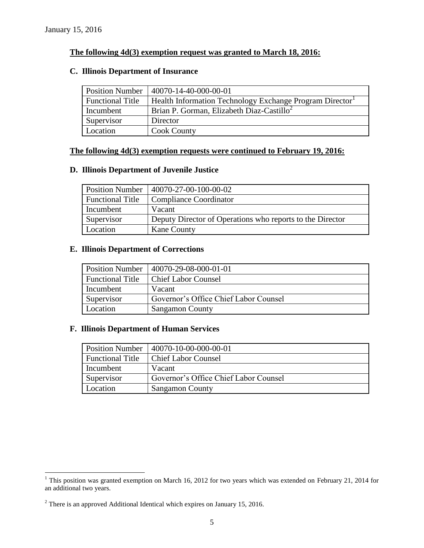## **The following 4d(3) exemption request was granted to March 18, 2016:**

# **C. Illinois Department of Insurance**

| <b>Position Number</b>  | 40070-14-40-000-00-01                                   |
|-------------------------|---------------------------------------------------------|
| <b>Functional Title</b> | Health Information Technology Exchange Program Director |
| Incumbent               | Brian P. Gorman, Elizabeth Diaz-Castillo <sup>2</sup>   |
| Supervisor              | Director                                                |
| Location                | <b>Cook County</b>                                      |

# **The following 4d(3) exemption requests were continued to February 19, 2016:**

# **D. Illinois Department of Juvenile Justice**

|                         | Position Number   40070-27-00-100-00-02                   |
|-------------------------|-----------------------------------------------------------|
| <b>Functional Title</b> | Compliance Coordinator                                    |
| Incumbent               | Vacant                                                    |
| Supervisor              | Deputy Director of Operations who reports to the Director |
| Location                | <b>Kane County</b>                                        |

#### **E. Illinois Department of Corrections**

|                         | Position Number   40070-29-08-000-01-01 |
|-------------------------|-----------------------------------------|
| <b>Functional Title</b> | <b>Chief Labor Counsel</b>              |
| Incumbent               | Vacant                                  |
| Supervisor              | Governor's Office Chief Labor Counsel   |
| Location                | <b>Sangamon County</b>                  |

# **F. Illinois Department of Human Services**

|                         | Position Number   40070-10-00-000-00-01 |
|-------------------------|-----------------------------------------|
| <b>Functional Title</b> | <b>Chief Labor Counsel</b>              |
| Incumbent               | Vacant                                  |
| Supervisor              | Governor's Office Chief Labor Counsel   |
| Location                | <b>Sangamon County</b>                  |

 $\overline{a}$ 

 $1$  This position was granted exemption on March 16, 2012 for two years which was extended on February 21, 2014 for an additional two years.

<sup>&</sup>lt;sup>2</sup> There is an approved Additional Identical which expires on January 15, 2016.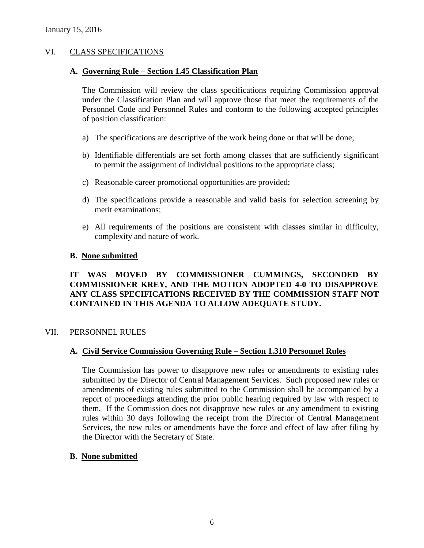# VI. CLASS SPECIFICATIONS

#### **A. Governing Rule – Section 1.45 Classification Plan**

The Commission will review the class specifications requiring Commission approval under the Classification Plan and will approve those that meet the requirements of the Personnel Code and Personnel Rules and conform to the following accepted principles of position classification:

- a) The specifications are descriptive of the work being done or that will be done;
- b) Identifiable differentials are set forth among classes that are sufficiently significant to permit the assignment of individual positions to the appropriate class;
- c) Reasonable career promotional opportunities are provided;
- d) The specifications provide a reasonable and valid basis for selection screening by merit examinations;
- e) All requirements of the positions are consistent with classes similar in difficulty, complexity and nature of work.

#### **B. None submitted**

# **IT WAS MOVED BY COMMISSIONER CUMMINGS, SECONDED BY COMMISSIONER KREY, AND THE MOTION ADOPTED 4-0 TO DISAPPROVE ANY CLASS SPECIFICATIONS RECEIVED BY THE COMMISSION STAFF NOT CONTAINED IN THIS AGENDA TO ALLOW ADEQUATE STUDY.**

#### VII. PERSONNEL RULES

#### **A. Civil Service Commission Governing Rule – Section 1.310 Personnel Rules**

The Commission has power to disapprove new rules or amendments to existing rules submitted by the Director of Central Management Services. Such proposed new rules or amendments of existing rules submitted to the Commission shall be accompanied by a report of proceedings attending the prior public hearing required by law with respect to them. If the Commission does not disapprove new rules or any amendment to existing rules within 30 days following the receipt from the Director of Central Management Services, the new rules or amendments have the force and effect of law after filing by the Director with the Secretary of State.

#### **B. None submitted**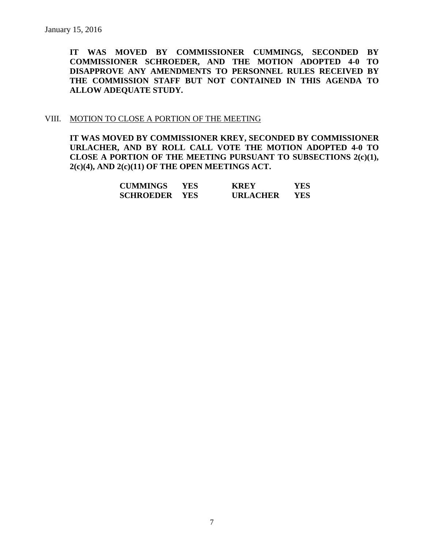**IT WAS MOVED BY COMMISSIONER CUMMINGS, SECONDED BY COMMISSIONER SCHROEDER, AND THE MOTION ADOPTED 4-0 TO DISAPPROVE ANY AMENDMENTS TO PERSONNEL RULES RECEIVED BY THE COMMISSION STAFF BUT NOT CONTAINED IN THIS AGENDA TO ALLOW ADEQUATE STUDY.** 

#### VIII. MOTION TO CLOSE A PORTION OF THE MEETING

**IT WAS MOVED BY COMMISSIONER KREY, SECONDED BY COMMISSIONER URLACHER, AND BY ROLL CALL VOTE THE MOTION ADOPTED 4-0 TO CLOSE A PORTION OF THE MEETING PURSUANT TO SUBSECTIONS 2(c)(1), 2(c)(4), AND 2(c)(11) OF THE OPEN MEETINGS ACT.**

| <b>CUMMINGS</b>      | YES. | <b>KREY</b>     | YES |
|----------------------|------|-----------------|-----|
| <b>SCHROEDER YES</b> |      | <b>URLACHER</b> | YES |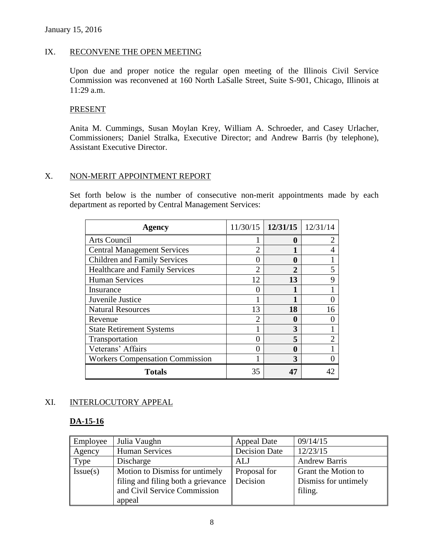# IX. RECONVENE THE OPEN MEETING

Upon due and proper notice the regular open meeting of the Illinois Civil Service Commission was reconvened at 160 North LaSalle Street, Suite S-901, Chicago, Illinois at 11:29 a.m.

#### PRESENT

Anita M. Cummings, Susan Moylan Krey, William A. Schroeder, and Casey Urlacher, Commissioners; Daniel Stralka, Executive Director; and Andrew Barris (by telephone), Assistant Executive Director.

#### X. NON-MERIT APPOINTMENT REPORT

Set forth below is the number of consecutive non-merit appointments made by each department as reported by Central Management Services:

| <b>Agency</b>                          |                | $11/30/15$   12/31/15 | 12/31/14       |
|----------------------------------------|----------------|-----------------------|----------------|
| Arts Council                           |                | 0                     |                |
| <b>Central Management Services</b>     | $\overline{2}$ |                       | 4              |
| <b>Children and Family Services</b>    |                | 0                     |                |
| <b>Healthcare and Family Services</b>  | っ              | 2                     | 5              |
| <b>Human Services</b>                  | 12             | 13                    | 9              |
| Insurance                              |                |                       |                |
| Juvenile Justice                       |                |                       |                |
| <b>Natural Resources</b>               | 13             | 18                    | 16             |
| Revenue                                | $\mathfrak{D}$ | 0                     |                |
| <b>State Retirement Systems</b>        |                | 3                     |                |
| Transportation                         | 0              | 5                     | $\overline{2}$ |
| Veterans' Affairs                      |                | 0                     |                |
| <b>Workers Compensation Commission</b> |                | 3                     |                |
| <b>Totals</b>                          | 35             |                       |                |

# XI. INTERLOCUTORY APPEAL

#### **DA-15-16**

| Employee | Julia Vaughn                                                                                                   | Appeal Date              | 09/14/15                                               |
|----------|----------------------------------------------------------------------------------------------------------------|--------------------------|--------------------------------------------------------|
| Agency   | <b>Human Services</b>                                                                                          | <b>Decision Date</b>     | 12/23/15                                               |
| Type     | Discharge                                                                                                      | <b>ALJ</b>               | <b>Andrew Barris</b>                                   |
| Issue(s) | Motion to Dismiss for untimely<br>filing and filing both a grievance<br>and Civil Service Commission<br>appeal | Proposal for<br>Decision | Grant the Motion to<br>Dismiss for untimely<br>filing. |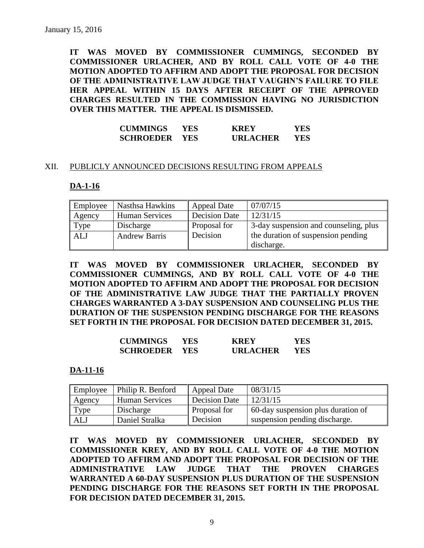**IT WAS MOVED BY COMMISSIONER CUMMINGS, SECONDED BY COMMISSIONER URLACHER, AND BY ROLL CALL VOTE OF 4-0 THE MOTION ADOPTED TO AFFIRM AND ADOPT THE PROPOSAL FOR DECISION OF THE ADMINISTRATIVE LAW JUDGE THAT VAUGHN'S FAILURE TO FILE HER APPEAL WITHIN 15 DAYS AFTER RECEIPT OF THE APPROVED CHARGES RESULTED IN THE COMMISSION HAVING NO JURISDICTION OVER THIS MATTER. THE APPEAL IS DISMISSED.**

| <b>CUMMINGS</b>  | YES.       | <b>KREY</b>     | YES |
|------------------|------------|-----------------|-----|
| <b>SCHROEDER</b> | <b>YES</b> | <b>URLACHER</b> | YES |

#### XII. PUBLICLY ANNOUNCED DECISIONS RESULTING FROM APPEALS

#### **DA-1-16**

| Employee | Nasthsa Hawkins       | <b>Appeal Date</b>   | 07/07/15                              |
|----------|-----------------------|----------------------|---------------------------------------|
| Agency   | <b>Human Services</b> | <b>Decision Date</b> | 12/31/15                              |
| Type     | Discharge             | Proposal for         | 3-day suspension and counseling, plus |
| ALJ      | <b>Andrew Barris</b>  | Decision             | the duration of suspension pending    |
|          |                       |                      | discharge.                            |

**IT WAS MOVED BY COMMISSIONER URLACHER, SECONDED BY COMMISSIONER CUMMINGS, AND BY ROLL CALL VOTE OF 4-0 THE MOTION ADOPTED TO AFFIRM AND ADOPT THE PROPOSAL FOR DECISION OF THE ADMINISTRATIVE LAW JUDGE THAT THE PARTIALLY PROVEN CHARGES WARRANTED A 3-DAY SUSPENSION AND COUNSELING PLUS THE DURATION OF THE SUSPENSION PENDING DISCHARGE FOR THE REASONS SET FORTH IN THE PROPOSAL FOR DECISION DATED DECEMBER 31, 2015.**

| <b>CUMMINGS</b>  | YES. | KREY            | YES  |
|------------------|------|-----------------|------|
| <b>SCHROEDER</b> | YES. | <b>URLACHER</b> | YES. |

**DA-11-16**

| Employee | Philip R. Benford | <b>Appeal Date</b>   | 08/31/15                           |
|----------|-------------------|----------------------|------------------------------------|
| Agency   | Human Services    | <b>Decision Date</b> | 12/31/15                           |
| Type     | Discharge         | Proposal for         | 60-day suspension plus duration of |
| ALJ      | Daniel Stralka    | Decision             | suspension pending discharge.      |

**IT WAS MOVED BY COMMISSIONER URLACHER, SECONDED BY COMMISSIONER KREY, AND BY ROLL CALL VOTE OF 4-0 THE MOTION ADOPTED TO AFFIRM AND ADOPT THE PROPOSAL FOR DECISION OF THE ADMINISTRATIVE LAW JUDGE THAT THE PROVEN CHARGES WARRANTED A 60-DAY SUSPENSION PLUS DURATION OF THE SUSPENSION PENDING DISCHARGE FOR THE REASONS SET FORTH IN THE PROPOSAL FOR DECISION DATED DECEMBER 31, 2015.**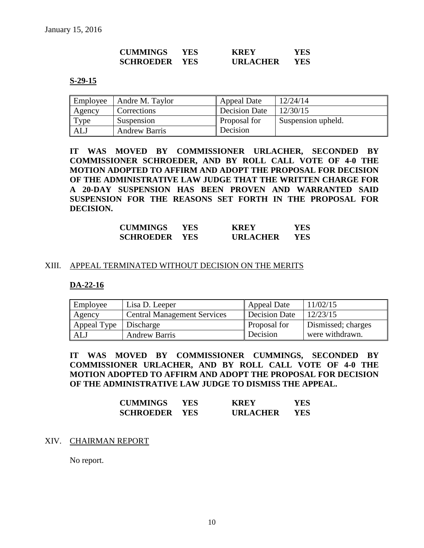| <b>CUMMINGS</b>  | YES.       | <b>KREY</b>     | YES |
|------------------|------------|-----------------|-----|
| <b>SCHROEDER</b> | <b>YES</b> | <b>URLACHER</b> | YES |

#### **S-29-15**

| Employee | Andre M. Taylor      | Appeal Date   | 12/24/14           |
|----------|----------------------|---------------|--------------------|
| Agency   | Corrections          | Decision Date | 12/30/15           |
| Type     | Suspension           | Proposal for  | Suspension upheld. |
| ALJ      | <b>Andrew Barris</b> | Decision      |                    |

**IT WAS MOVED BY COMMISSIONER URLACHER, SECONDED BY COMMISSIONER SCHROEDER, AND BY ROLL CALL VOTE OF 4-0 THE MOTION ADOPTED TO AFFIRM AND ADOPT THE PROPOSAL FOR DECISION OF THE ADMINISTRATIVE LAW JUDGE THAT THE WRITTEN CHARGE FOR A 20-DAY SUSPENSION HAS BEEN PROVEN AND WARRANTED SAID SUSPENSION FOR THE REASONS SET FORTH IN THE PROPOSAL FOR DECISION.**

| <b>CUMMINGS</b>  | YES  | <b>KREY</b>     | YES |
|------------------|------|-----------------|-----|
| <b>SCHROEDER</b> | YES. | <b>URLACHER</b> | YES |

#### XIII. APPEAL TERMINATED WITHOUT DECISION ON THE MERITS

#### **DA-22-16**

| Employee    | Lisa D. Leeper                     | <b>Appeal Date</b>   | 11/02/15           |
|-------------|------------------------------------|----------------------|--------------------|
| Agency      | <b>Central Management Services</b> | <b>Decision Date</b> | 12/23/15           |
| Appeal Type | Discharge                          | Proposal for         | Dismissed; charges |
| <b>ALJ</b>  | <b>Andrew Barris</b>               | Decision             | were withdrawn.    |

**IT WAS MOVED BY COMMISSIONER CUMMINGS, SECONDED BY COMMISSIONER URLACHER, AND BY ROLL CALL VOTE OF 4-0 THE MOTION ADOPTED TO AFFIRM AND ADOPT THE PROPOSAL FOR DECISION OF THE ADMINISTRATIVE LAW JUDGE TO DISMISS THE APPEAL.** 

| <b>CUMMINGS</b>  | YES  | <b>KREY</b>     | YES |
|------------------|------|-----------------|-----|
| <b>SCHROEDER</b> | YES. | <b>URLACHER</b> | YES |

#### XIV. CHAIRMAN REPORT

No report.